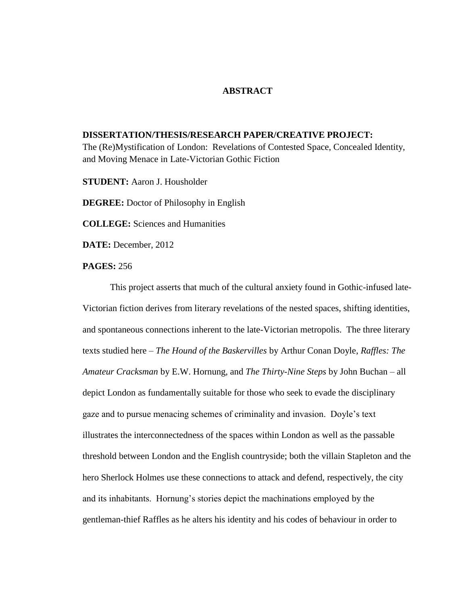## **ABSTRACT**

## **DISSERTATION/THESIS/RESEARCH PAPER/CREATIVE PROJECT:**

The (Re)Mystification of London: Revelations of Contested Space, Concealed Identity, and Moving Menace in Late-Victorian Gothic Fiction

**STUDENT:** Aaron J. Housholder

**DEGREE:** Doctor of Philosophy in English

**COLLEGE:** Sciences and Humanities

**DATE:** December, 2012

## **PAGES:** 256

This project asserts that much of the cultural anxiety found in Gothic-infused late-Victorian fiction derives from literary revelations of the nested spaces, shifting identities, and spontaneous connections inherent to the late-Victorian metropolis. The three literary texts studied here – *The Hound of the Baskervilles* by Arthur Conan Doyle, *Raffles: The Amateur Cracksman* by E.W. Hornung, and *The Thirty-Nine Steps* by John Buchan – all depict London as fundamentally suitable for those who seek to evade the disciplinary gaze and to pursue menacing schemes of criminality and invasion. Doyle's text illustrates the interconnectedness of the spaces within London as well as the passable threshold between London and the English countryside; both the villain Stapleton and the hero Sherlock Holmes use these connections to attack and defend, respectively, the city and its inhabitants. Hornung's stories depict the machinations employed by the gentleman-thief Raffles as he alters his identity and his codes of behaviour in order to